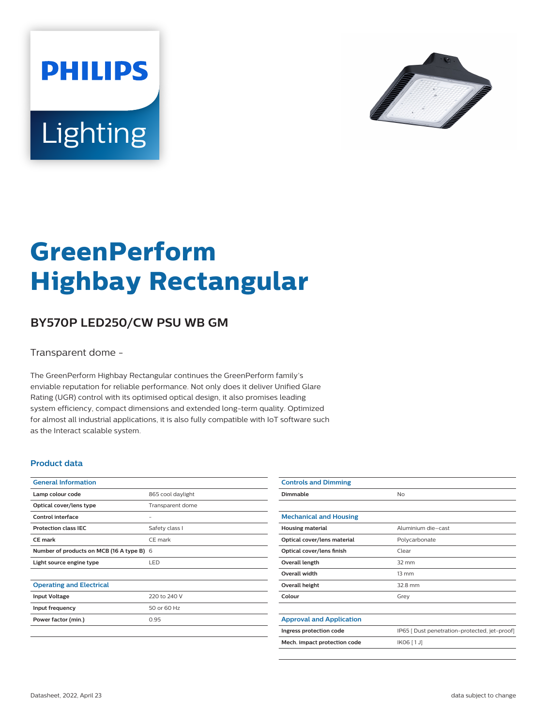



# **GreenPerform Highbay Rectangular**

## **BY570P LED250/CW PSU WB GM**

Transparent dome -

The GreenPerform Highbay Rectangular continues the GreenPerform family's enviable reputation for reliable performance. Not only does it deliver Unified Glare Rating (UGR) control with its optimised optical design, it also promises leading system efficiency, compact dimensions and extended long-term quality. Optimized for almost all industrial applications, it is also fully compatible with IoT software such as the Interact scalable system.

#### **Product data**

| <b>General Information</b>                |                   |
|-------------------------------------------|-------------------|
| Lamp colour code                          | 865 cool daylight |
| Optical cover/lens type                   | Transparent dome  |
| Control interface                         |                   |
| <b>Protection class IEC</b>               | Safety class I    |
| CF mark                                   | CF mark           |
| Number of products on MCB (16 A type B) 6 |                   |
| Light source engine type                  | LED               |
|                                           |                   |
| <b>Operating and Electrical</b>           |                   |
| <b>Input Voltage</b>                      | 220 to 240 V      |
| Input frequency                           | 50 or 60 Hz       |
| Power factor (min.)                       | 0.95              |
|                                           |                   |

| <b>Controls and Dimming</b>     |                                               |
|---------------------------------|-----------------------------------------------|
| Dimmable                        | <b>No</b>                                     |
|                                 |                                               |
| <b>Mechanical and Housing</b>   |                                               |
| <b>Housing material</b>         | Aluminium die-cast                            |
| Optical cover/lens material     | Polycarbonate                                 |
| Optical cover/lens finish       | Clear                                         |
| Overall length                  | $32 \text{ mm}$                               |
| <b>Overall width</b>            | $13 \, \text{mm}$                             |
| Overall height                  | 32.8 mm                                       |
| Colour                          | Grey                                          |
|                                 |                                               |
| <b>Approval and Application</b> |                                               |
| Ingress protection code         | IP65 [ Dust penetration-protected, jet-proof] |
| Mech. impact protection code    | IK06 [1J]                                     |
|                                 |                                               |